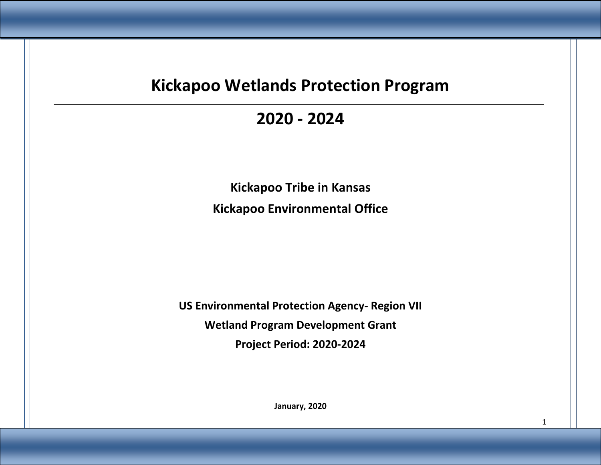# **Kickapoo Wetlands Protection Program**

# **2020 - 2024**

**Kickapoo Tribe in Kansas Kickapoo Environmental Office**

**US Environmental Protection Agency- Region VII Wetland Program Development Grant Project Period: 2020-2024**

**January, 2020**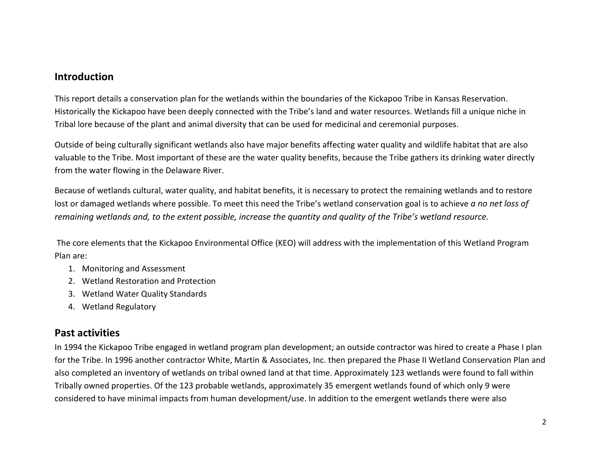#### **Introduction**

This report details a conservation plan for the wetlands within the boundaries of the Kickapoo Tribe in Kansas Reservation. Historically the Kickapoo have been deeply connected with the Tribe's land and water resources. Wetlands fill a unique niche in Tribal lore because of the plant and animal diversity that can be used for medicinal and ceremonial purposes.

Outside of being culturally significant wetlands also have major benefits affecting water quality and wildlife habitat that are also valuable to the Tribe. Most important of these are the water quality benefits, because the Tribe gathers its drinking water directly from the water flowing in the Delaware River.

Because of wetlands cultural, water quality, and habitat benefits, it is necessary to protect the remaining wetlands and to restore lost or damaged wetlands where possible. To meet this need the Tribe's wetland conservation goal is to achieve *a no net loss of remaining wetlands and, to the extent possible, increase the quantity and quality of the Tribe's wetland resource.*

The core elements that the Kickapoo Environmental Office (KEO) will address with the implementation of this Wetland Program Plan are:

- 1. Monitoring and Assessment
- 2. Wetland Restoration and Protection
- 3. Wetland Water Quality Standards
- 4. Wetland Regulatory

### **Past activities**

In 1994 the Kickapoo Tribe engaged in wetland program plan development; an outside contractor was hired to create a Phase I plan for the Tribe. In 1996 another contractor White, Martin & Associates, Inc. then prepared the Phase II Wetland Conservation Plan and also completed an inventory of wetlands on tribal owned land at that time. Approximately 123 wetlands were found to fall within Tribally owned properties. Of the 123 probable wetlands, approximately 35 emergent wetlands found of which only 9 were considered to have minimal impacts from human development/use. In addition to the emergent wetlands there were also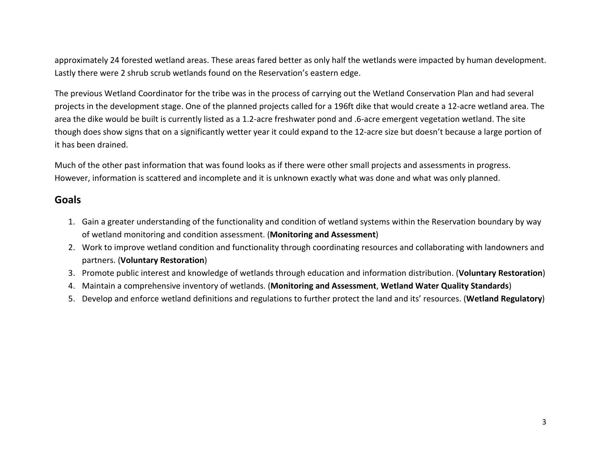approximately 24 forested wetland areas. These areas fared better as only half the wetlands were impacted by human development. Lastly there were 2 shrub scrub wetlands found on the Reservation's eastern edge.

The previous Wetland Coordinator for the tribe was in the process of carrying out the Wetland Conservation Plan and had several projects in the development stage. One of the planned projects called for a 196ft dike that would create a 12-acre wetland area. The area the dike would be built is currently listed as a 1.2-acre freshwater pond and .6-acre emergent vegetation wetland. The site though does show signs that on a significantly wetter year it could expand to the 12-acre size but doesn't because a large portion of it has been drained.

Much of the other past information that was found looks as if there were other small projects and assessments in progress. However, information is scattered and incomplete and it is unknown exactly what was done and what was only planned.

### **Goals**

- 1. Gain a greater understanding of the functionality and condition of wetland systems within the Reservation boundary by way of wetland monitoring and condition assessment. (**Monitoring and Assessment**)
- 2. Work to improve wetland condition and functionality through coordinating resources and collaborating with landowners and partners. (**Voluntary Restoration**)
- 3. Promote public interest and knowledge of wetlands through education and information distribution. (**Voluntary Restoration**)
- 4. Maintain a comprehensive inventory of wetlands. (**Monitoring and Assessment**, **Wetland Water Quality Standards**)
- 5. Develop and enforce wetland definitions and regulations to further protect the land and its' resources. (**Wetland Regulatory**)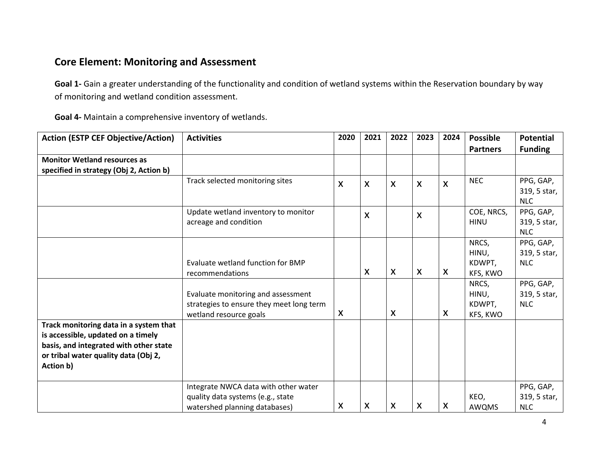### **Core Element: Monitoring and Assessment**

**Goal 1-** Gain a greater understanding of the functionality and condition of wetland systems within the Reservation boundary by way of monitoring and wetland condition assessment.

**Goal 4-** Maintain a comprehensive inventory of wetlands.

| <b>Action (ESTP CEF Objective/Action)</b> | <b>Activities</b>                        | 2020 | 2021             | 2022                      | 2023                      | 2024                      | <b>Possible</b> | <b>Potential</b> |
|-------------------------------------------|------------------------------------------|------|------------------|---------------------------|---------------------------|---------------------------|-----------------|------------------|
|                                           |                                          |      |                  |                           |                           |                           | <b>Partners</b> | <b>Funding</b>   |
| <b>Monitor Wetland resources as</b>       |                                          |      |                  |                           |                           |                           |                 |                  |
| specified in strategy (Obj 2, Action b)   |                                          |      |                  |                           |                           |                           |                 |                  |
|                                           | Track selected monitoring sites          | X    | $\boldsymbol{X}$ | X                         | $\boldsymbol{\mathsf{X}}$ | $\boldsymbol{\mathsf{X}}$ | <b>NEC</b>      | PPG, GAP,        |
|                                           |                                          |      |                  |                           |                           |                           |                 | 319, 5 star,     |
|                                           |                                          |      |                  |                           |                           |                           |                 | <b>NLC</b>       |
|                                           | Update wetland inventory to monitor      |      | X                |                           | $\boldsymbol{\mathsf{X}}$ |                           | COE, NRCS,      | PPG, GAP,        |
|                                           | acreage and condition                    |      |                  |                           |                           |                           | <b>HINU</b>     | 319, 5 star,     |
|                                           |                                          |      |                  |                           |                           |                           |                 | <b>NLC</b>       |
|                                           |                                          |      |                  |                           |                           |                           | NRCS,           | PPG, GAP,        |
|                                           |                                          |      |                  |                           |                           |                           | HINU,           | 319, 5 star,     |
|                                           | Evaluate wetland function for BMP        |      |                  |                           |                           |                           | KDWPT,          | <b>NLC</b>       |
|                                           | recommendations                          |      | X                | X                         | $\boldsymbol{\mathsf{X}}$ | $\boldsymbol{\mathsf{X}}$ | KFS, KWO        |                  |
|                                           |                                          |      |                  |                           |                           |                           | NRCS,           | PPG, GAP,        |
|                                           | Evaluate monitoring and assessment       |      |                  |                           |                           |                           | HINU,           | 319, 5 star,     |
|                                           | strategies to ensure they meet long term |      |                  |                           |                           |                           | KDWPT,          | <b>NLC</b>       |
|                                           | wetland resource goals                   | X    |                  | $\boldsymbol{\mathsf{X}}$ |                           | $\boldsymbol{\mathsf{X}}$ | KFS, KWO        |                  |
| Track monitoring data in a system that    |                                          |      |                  |                           |                           |                           |                 |                  |
| is accessible, updated on a timely        |                                          |      |                  |                           |                           |                           |                 |                  |
| basis, and integrated with other state    |                                          |      |                  |                           |                           |                           |                 |                  |
| or tribal water quality data (Obj 2,      |                                          |      |                  |                           |                           |                           |                 |                  |
| Action b)                                 |                                          |      |                  |                           |                           |                           |                 |                  |
|                                           |                                          |      |                  |                           |                           |                           |                 |                  |
|                                           | Integrate NWCA data with other water     |      |                  |                           |                           |                           |                 | PPG, GAP,        |
|                                           | quality data systems (e.g., state        |      |                  |                           |                           |                           | KEO,            | 319, 5 star,     |
|                                           | watershed planning databases)            | X    | X                | X                         | X                         | $\boldsymbol{\mathsf{X}}$ | AWQMS           | <b>NLC</b>       |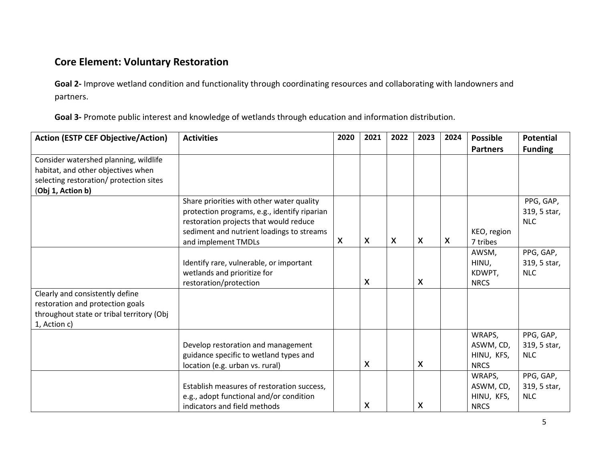# **Core Element: Voluntary Restoration**

**Goal 2-** Improve wetland condition and functionality through coordinating resources and collaborating with landowners and partners.

**Goal 3-** Promote public interest and knowledge of wetlands through education and information distribution.

| <b>Action (ESTP CEF Objective/Action)</b> | <b>Activities</b>                            | 2020                      | 2021                      | 2022 | 2023                      | 2024 | <b>Possible</b> | <b>Potential</b> |
|-------------------------------------------|----------------------------------------------|---------------------------|---------------------------|------|---------------------------|------|-----------------|------------------|
|                                           |                                              |                           |                           |      |                           |      | <b>Partners</b> | <b>Funding</b>   |
| Consider watershed planning, wildlife     |                                              |                           |                           |      |                           |      |                 |                  |
| habitat, and other objectives when        |                                              |                           |                           |      |                           |      |                 |                  |
| selecting restoration/ protection sites   |                                              |                           |                           |      |                           |      |                 |                  |
| (Obj 1, Action b)                         |                                              |                           |                           |      |                           |      |                 |                  |
|                                           | Share priorities with other water quality    |                           |                           |      |                           |      |                 | PPG, GAP,        |
|                                           | protection programs, e.g., identify riparian |                           |                           |      |                           |      |                 | 319, 5 star,     |
|                                           | restoration projects that would reduce       |                           |                           |      |                           |      |                 | <b>NLC</b>       |
|                                           | sediment and nutrient loadings to streams    |                           |                           |      |                           |      | KEO, region     |                  |
|                                           | and implement TMDLs                          | $\boldsymbol{\mathsf{X}}$ | $\boldsymbol{\mathsf{X}}$ | X    | $\boldsymbol{\mathsf{X}}$ | X    | 7 tribes        |                  |
|                                           |                                              |                           |                           |      |                           |      | AWSM,           | PPG, GAP,        |
|                                           | Identify rare, vulnerable, or important      |                           |                           |      |                           |      | HINU,           | 319, 5 star,     |
|                                           | wetlands and prioritize for                  |                           |                           |      |                           |      | KDWPT,          | <b>NLC</b>       |
|                                           | restoration/protection                       |                           | X                         |      | $\boldsymbol{\mathsf{X}}$ |      | <b>NRCS</b>     |                  |
| Clearly and consistently define           |                                              |                           |                           |      |                           |      |                 |                  |
| restoration and protection goals          |                                              |                           |                           |      |                           |      |                 |                  |
| throughout state or tribal territory (Obj |                                              |                           |                           |      |                           |      |                 |                  |
| 1, Action c)                              |                                              |                           |                           |      |                           |      |                 |                  |
|                                           |                                              |                           |                           |      |                           |      | WRAPS,          | PPG, GAP,        |
|                                           | Develop restoration and management           |                           |                           |      |                           |      | ASWM, CD,       | 319, 5 star,     |
|                                           | guidance specific to wetland types and       |                           |                           |      |                           |      | HINU, KFS,      | <b>NLC</b>       |
|                                           | location (e.g. urban vs. rural)              |                           | X                         |      | X                         |      | <b>NRCS</b>     |                  |
|                                           |                                              |                           |                           |      |                           |      | WRAPS,          | PPG, GAP,        |
|                                           | Establish measures of restoration success,   |                           |                           |      |                           |      | ASWM, CD,       | 319, 5 star,     |
|                                           | e.g., adopt functional and/or condition      |                           |                           |      |                           |      | HINU, KFS,      | <b>NLC</b>       |
|                                           | indicators and field methods                 |                           | X                         |      | $\pmb{\mathsf{X}}$        |      | <b>NRCS</b>     |                  |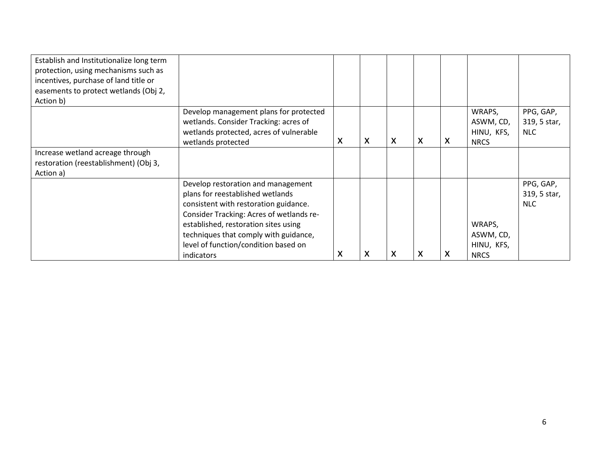| Establish and Institutionalize long term<br>protection, using mechanisms such as<br>incentives, purchase of land title or<br>easements to protect wetlands (Obj 2,<br>Action b) |                                                                                                                                                                                                                                                                                                    |                           |   |   |   |   |                                                  |                                         |
|---------------------------------------------------------------------------------------------------------------------------------------------------------------------------------|----------------------------------------------------------------------------------------------------------------------------------------------------------------------------------------------------------------------------------------------------------------------------------------------------|---------------------------|---|---|---|---|--------------------------------------------------|-----------------------------------------|
|                                                                                                                                                                                 | Develop management plans for protected<br>wetlands. Consider Tracking: acres of<br>wetlands protected, acres of vulnerable<br>wetlands protected                                                                                                                                                   | $\boldsymbol{\mathsf{X}}$ | X | X | X | X | WRAPS,<br>ASWM, CD,<br>HINU, KFS,<br><b>NRCS</b> | PPG, GAP,<br>319, 5 star,<br>NLC.       |
| Increase wetland acreage through<br>restoration (reestablishment) (Obj 3,<br>Action a)                                                                                          |                                                                                                                                                                                                                                                                                                    |                           |   |   |   |   |                                                  |                                         |
|                                                                                                                                                                                 | Develop restoration and management<br>plans for reestablished wetlands<br>consistent with restoration guidance.<br>Consider Tracking: Acres of wetlands re-<br>established, restoration sites using<br>techniques that comply with guidance,<br>level of function/condition based on<br>indicators | X                         | X | X | X | X | WRAPS,<br>ASWM, CD,<br>HINU, KFS,<br><b>NRCS</b> | PPG, GAP,<br>319, 5 star,<br><b>NLC</b> |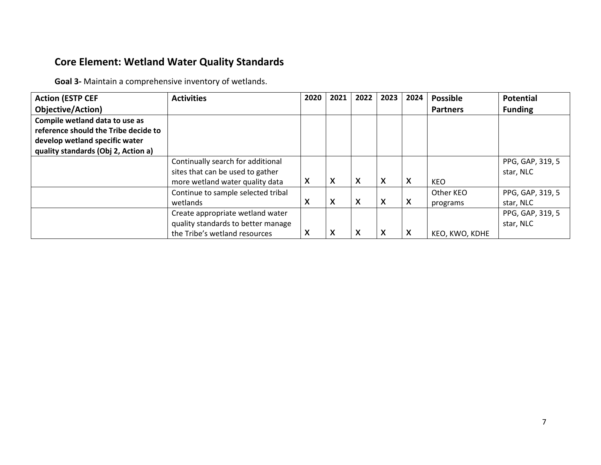## **Core Element: Wetland Water Quality Standards**

**Goal 3-** Maintain a comprehensive inventory of wetlands.

| <b>Action (ESTP CEF</b>              | <b>Activities</b>                  | 2020 | 2021             | 2022 | 2023                      | 2024 | <b>Possible</b> | <b>Potential</b> |
|--------------------------------------|------------------------------------|------|------------------|------|---------------------------|------|-----------------|------------------|
| Objective/Action)                    |                                    |      |                  |      |                           |      | <b>Partners</b> | <b>Funding</b>   |
| Compile wetland data to use as       |                                    |      |                  |      |                           |      |                 |                  |
| reference should the Tribe decide to |                                    |      |                  |      |                           |      |                 |                  |
| develop wetland specific water       |                                    |      |                  |      |                           |      |                 |                  |
| quality standards (Obj 2, Action a)  |                                    |      |                  |      |                           |      |                 |                  |
|                                      | Continually search for additional  |      |                  |      |                           |      |                 | PPG, GAP, 319, 5 |
|                                      | sites that can be used to gather   |      |                  |      |                           |      |                 | star, NLC        |
|                                      | more wetland water quality data    | X    | $\boldsymbol{X}$ | X    | $\boldsymbol{\mathsf{X}}$ | X    | <b>KEO</b>      |                  |
|                                      | Continue to sample selected tribal |      |                  |      |                           |      | Other KEO       | PPG, GAP, 319, 5 |
|                                      | wetlands                           | X    | X                | X    | $\boldsymbol{\mathsf{X}}$ | X    | programs        | star, NLC        |
|                                      | Create appropriate wetland water   |      |                  |      |                           |      |                 | PPG, GAP, 319, 5 |
|                                      | quality standards to better manage |      |                  |      |                           |      |                 | star, NLC        |
|                                      | the Tribe's wetland resources      | X    | X                | X    | $\boldsymbol{\mathsf{X}}$ | X    | KEO, KWO, KDHE  |                  |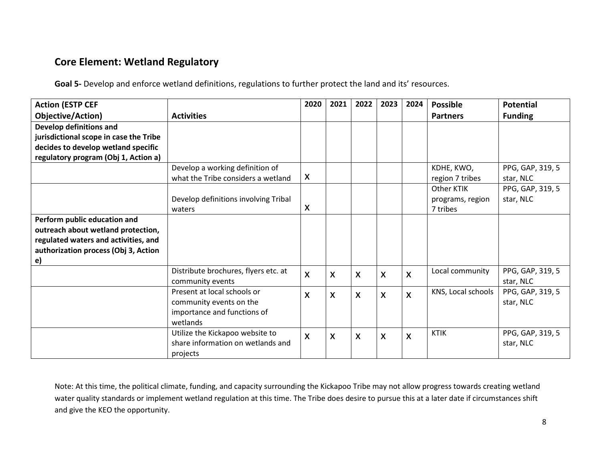## **Core Element: Wetland Regulatory**

**Goal 5-** Develop and enforce wetland definitions, regulations to further protect the land and its' resources.

| <b>Action (ESTP CEF</b>                |                                                          | 2020         | 2021                      | 2022 | 2023                      | 2024         | <b>Possible</b>    | Potential                     |
|----------------------------------------|----------------------------------------------------------|--------------|---------------------------|------|---------------------------|--------------|--------------------|-------------------------------|
| Objective/Action)                      | <b>Activities</b>                                        |              |                           |      |                           |              | <b>Partners</b>    | <b>Funding</b>                |
| Develop definitions and                |                                                          |              |                           |      |                           |              |                    |                               |
| jurisdictional scope in case the Tribe |                                                          |              |                           |      |                           |              |                    |                               |
| decides to develop wetland specific    |                                                          |              |                           |      |                           |              |                    |                               |
| regulatory program (Obj 1, Action a)   |                                                          |              |                           |      |                           |              |                    |                               |
|                                        | Develop a working definition of                          |              |                           |      |                           |              | KDHE, KWO,         | PPG, GAP, 319, 5              |
|                                        | what the Tribe considers a wetland                       | X            |                           |      |                           |              | region 7 tribes    | star, NLC                     |
|                                        |                                                          |              |                           |      |                           |              | Other KTIK         | PPG, GAP, 319, 5              |
|                                        | Develop definitions involving Tribal                     |              |                           |      |                           |              | programs, region   | star, NLC                     |
|                                        | waters                                                   | X            |                           |      |                           |              | 7 tribes           |                               |
| Perform public education and           |                                                          |              |                           |      |                           |              |                    |                               |
| outreach about wetland protection,     |                                                          |              |                           |      |                           |              |                    |                               |
| regulated waters and activities, and   |                                                          |              |                           |      |                           |              |                    |                               |
| authorization process (Obj 3, Action   |                                                          |              |                           |      |                           |              |                    |                               |
| $\mathbf{e}$                           |                                                          |              |                           |      |                           |              |                    |                               |
|                                        | Distribute brochures, flyers etc. at<br>community events | X            | $\boldsymbol{\mathsf{X}}$ | X    | $\boldsymbol{\mathsf{X}}$ | $\mathsf{x}$ | Local community    | PPG, GAP, 319, 5<br>star, NLC |
|                                        | Present at local schools or<br>community events on the   | X            | $\boldsymbol{\mathsf{X}}$ | X    | $\boldsymbol{\mathsf{X}}$ | $\mathsf{x}$ | KNS, Local schools | PPG, GAP, 319, 5<br>star, NLC |
|                                        | importance and functions of                              |              |                           |      |                           |              |                    |                               |
|                                        | wetlands                                                 |              |                           |      |                           |              |                    |                               |
|                                        | Utilize the Kickapoo website to                          | $\mathsf{x}$ | $\boldsymbol{\mathsf{X}}$ | X    | $\boldsymbol{\mathsf{X}}$ | X            | <b>KTIK</b>        | PPG, GAP, 319, 5              |
|                                        | share information on wetlands and                        |              |                           |      |                           |              |                    | star, NLC                     |
|                                        | projects                                                 |              |                           |      |                           |              |                    |                               |

Note: At this time, the political climate, funding, and capacity surrounding the Kickapoo Tribe may not allow progress towards creating wetland water quality standards or implement wetland regulation at this time. The Tribe does desire to pursue this at a later date if circumstances shift and give the KEO the opportunity.